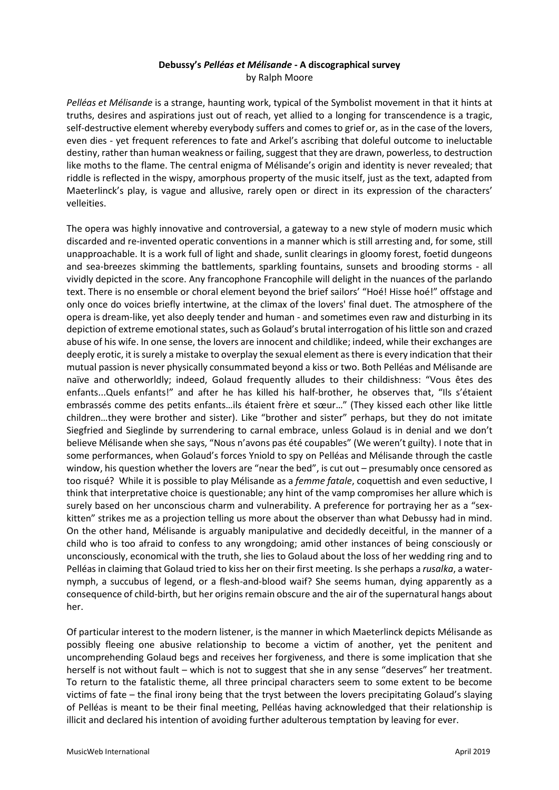# **Debussy's** *Pelléas et Mélisande* **- A discographical survey** by Ralph Moore

*Pelléas et Mélisande* is a strange, haunting work, typical of the Symbolist movement in that it hints at truths, desires and aspirations just out of reach, yet allied to a longing for transcendence is a tragic, self-destructive element whereby everybody suffers and comes to grief or, as in the case of the lovers, even dies - yet frequent references to fate and Arkel's ascribing that doleful outcome to ineluctable destiny, rather than human weakness or failing, suggest that they are drawn, powerless, to destruction like moths to the flame. The central enigma of Mélisande's origin and identity is never revealed; that riddle is reflected in the wispy, amorphous property of the music itself, just as the text, adapted from Maeterlinck's play, is vague and allusive, rarely open or direct in its expression of the characters' velleities.

The opera was highly innovative and controversial, a gateway to a new style of modern music which discarded and re-invented operatic conventions in a manner which is still arresting and, for some, still unapproachable. It is a work full of light and shade, sunlit clearings in gloomy forest, foetid dungeons and sea-breezes skimming the battlements, sparkling fountains, sunsets and brooding storms - all vividly depicted in the score. Any francophone Francophile will delight in the nuances of the parlando text. There is no ensemble or choral element beyond the brief sailors' "Hoé! Hisse hoé!" offstage and only once do voices briefly intertwine, at the climax of the lovers' final duet. The atmosphere of the opera is dream-like, yet also deeply tender and human - and sometimes even raw and disturbing in its depiction of extreme emotional states, such as Golaud's brutal interrogation of his little son and crazed abuse of his wife. In one sense, the lovers are innocent and childlike; indeed, while their exchanges are deeply erotic, it is surely a mistake to overplay the sexual element as there is every indication that their mutual passion is never physically consummated beyond a kiss or two. Both Pelléas and Mélisande are naïve and otherworldly; indeed, Golaud frequently alludes to their childishness: "Vous êtes des enfants...Quels enfants!" and after he has killed his half-brother, he observes that, "Ils s'étaient embrassés comme des petits enfants…ils étaient frère et sœur…" (They kissed each other like little children…they were brother and sister). Like "brother and sister" perhaps, but they do not imitate Siegfried and Sieglinde by surrendering to carnal embrace, unless Golaud is in denial and we don't believe Mélisande when she says, "Nous n'avons pas été coupables" (We weren't guilty). I note that in some performances, when Golaud's forces Yniold to spy on Pelléas and Mélisande through the castle window, his question whether the lovers are "near the bed", is cut out – presumably once censored as too risqué? While it is possible to play Mélisande as a *femme fatale*, coquettish and even seductive, I think that interpretative choice is questionable; any hint of the vamp compromises her allure which is surely based on her unconscious charm and vulnerability. A preference for portraying her as a "sexkitten" strikes me as a projection telling us more about the observer than what Debussy had in mind. On the other hand, Mélisande is arguably manipulative and decidedly deceitful, in the manner of a child who is too afraid to confess to any wrongdoing; amid other instances of being consciously or unconsciously, economical with the truth, she lies to Golaud about the loss of her wedding ring and to Pelléas in claiming that Golaud tried to kiss her on their first meeting. Is she perhaps a *rusalka*, a waternymph, a succubus of legend, or a flesh-and-blood waif? She seems human, dying apparently as a consequence of child-birth, but her origins remain obscure and the air of the supernatural hangs about her.

Of particular interest to the modern listener, is the manner in which Maeterlinck depicts Mélisande as possibly fleeing one abusive relationship to become a victim of another, yet the penitent and uncomprehending Golaud begs and receives her forgiveness, and there is some implication that she herself is not without fault – which is not to suggest that she in any sense "deserves" her treatment. To return to the fatalistic theme, all three principal characters seem to some extent to be become victims of fate – the final irony being that the tryst between the lovers precipitating Golaud's slaying of Pelléas is meant to be their final meeting, Pelléas having acknowledged that their relationship is illicit and declared his intention of avoiding further adulterous temptation by leaving for ever.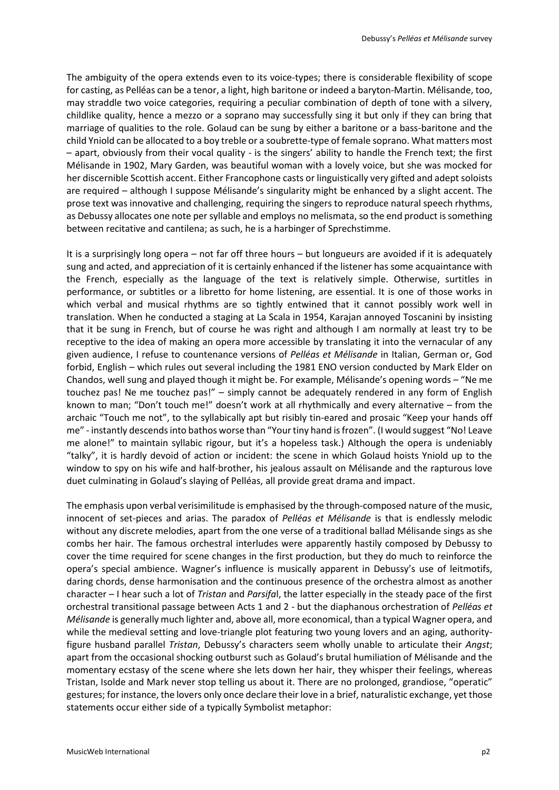The ambiguity of the opera extends even to its voice-types; there is considerable flexibility of scope for casting, as Pelléas can be a tenor, a light, high baritone or indeed a baryton-Martin. Mélisande, too, may straddle two voice categories, requiring a peculiar combination of depth of tone with a silvery, childlike quality, hence a mezzo or a soprano may successfully sing it but only if they can bring that marriage of qualities to the role. Golaud can be sung by either a baritone or a bass-baritone and the child Yniold can be allocated to a boy treble or a soubrette-type of female soprano. What matters most – apart, obviously from their vocal quality - is the singers' ability to handle the French text; the first Mélisande in 1902, Mary Garden, was beautiful woman with a lovely voice, but she was mocked for her discernible Scottish accent. Either Francophone casts or linguistically very gifted and adept soloists are required – although I suppose Mélisande's singularity might be enhanced by a slight accent. The prose text was innovative and challenging, requiring the singers to reproduce natural speech rhythms, as Debussy allocates one note per syllable and employs no melismata, so the end product is something between recitative and cantilena; as such, he is a harbinger of Sprechstimme.

It is a surprisingly long opera – not far off three hours – but longueurs are avoided if it is adequately sung and acted, and appreciation of it is certainly enhanced if the listener has some acquaintance with the French, especially as the language of the text is relatively simple. Otherwise, surtitles in performance, or subtitles or a libretto for home listening, are essential. It is one of those works in which verbal and musical rhythms are so tightly entwined that it cannot possibly work well in translation. When he conducted a staging at La Scala in 1954, Karajan annoyed Toscanini by insisting that it be sung in French, but of course he was right and although I am normally at least try to be receptive to the idea of making an opera more accessible by translating it into the vernacular of any given audience, I refuse to countenance versions of *Pelléas et Mélisande* in Italian, German or, God forbid, English – which rules out several including the 1981 ENO version conducted by Mark Elder on Chandos, well sung and played though it might be. For example, Mélisande's opening words – "Ne me touchez pas! Ne me touchez pas!" – simply cannot be adequately rendered in any form of English known to man; "Don't touch me!" doesn't work at all rhythmically and every alternative – from the archaic "Touch me not", to the syllabically apt but risibly tin-eared and prosaic "Keep your hands off me" - instantly descends into bathos worse than "Your tiny hand is frozen". (I would suggest "No! Leave me alone!" to maintain syllabic rigour, but it's a hopeless task.) Although the opera is undeniably "talky", it is hardly devoid of action or incident: the scene in which Golaud hoists Yniold up to the window to spy on his wife and half-brother, his jealous assault on Mélisande and the rapturous love duet culminating in Golaud's slaying of Pelléas, all provide great drama and impact.

The emphasis upon verbal verisimilitude is emphasised by the through-composed nature of the music, innocent of set-pieces and arias. The paradox of *Pelléas et Mélisande* is that is endlessly melodic without any discrete melodies, apart from the one verse of a traditional ballad Mélisande sings as she combs her hair. The famous orchestral interludes were apparently hastily composed by Debussy to cover the time required for scene changes in the first production, but they do much to reinforce the opera's special ambience. Wagner's influence is musically apparent in Debussy's use of leitmotifs, daring chords, dense harmonisation and the continuous presence of the orchestra almost as another character – I hear such a lot of *Tristan* and *Parsifa*l, the latter especially in the steady pace of the first orchestral transitional passage between Acts 1 and 2 - but the diaphanous orchestration of *Pelléas et Mélisande* is generally much lighter and, above all, more economical, than a typical Wagner opera, and while the medieval setting and love-triangle plot featuring two young lovers and an aging, authorityfigure husband parallel *Tristan*, Debussy's characters seem wholly unable to articulate their *Angst*; apart from the occasional shocking outburst such as Golaud's brutal humiliation of Mélisande and the momentary ecstasy of the scene where she lets down her hair, they whisper their feelings, whereas Tristan, Isolde and Mark never stop telling us about it. There are no prolonged, grandiose, "operatic" gestures; for instance, the lovers only once declare their love in a brief, naturalistic exchange, yet those statements occur either side of a typically Symbolist metaphor: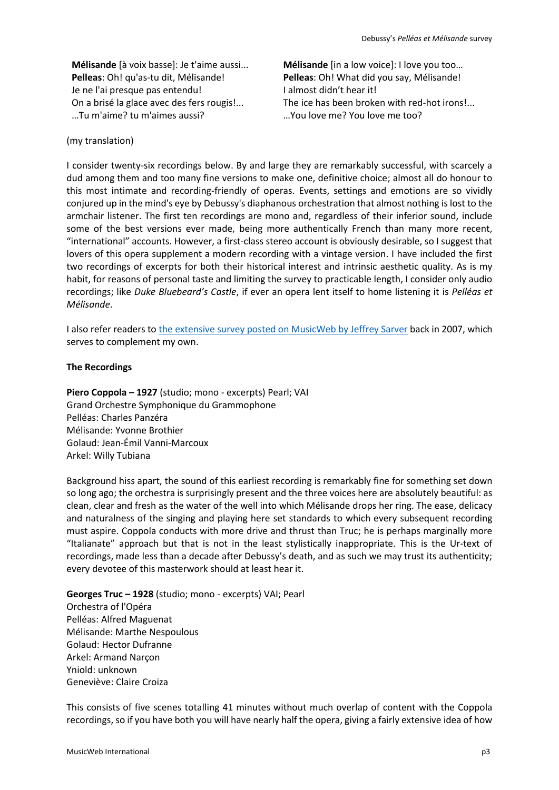**Mélisande** [à voix basse]: Je t'aime aussi... **Pelleas**: Oh! qu'as-tu dit, Mélisande! Je ne l'ai presque pas entendu! On a brisé la glace avec des fers rougis!... …Tu m'aime? tu m'aimes aussi?

**Mélisande** [in a low voice]: I love you too… **Pelleas**: Oh! What did you say, Mélisande! I almost didn't hear it! The ice has been broken with red-hot irons!... …You love me? You love me too?

# (my translation)

I consider twenty-six recordings below. By and large they are remarkably successful, with scarcely a dud among them and too many fine versions to make one, definitive choice; almost all do honour to this most intimate and recording-friendly of operas. Events, settings and emotions are so vividly conjured up in the mind's eye by Debussy's diaphanous orchestration that almost nothing is lost to the armchair listener. The first ten recordings are mono and, regardless of their inferior sound, include some of the best versions ever made, being more authentically French than many more recent, "international" accounts. However, a first-class stereo account is obviously desirable, so I suggest that lovers of this opera supplement a modern recording with a vintage version. I have included the first two recordings of excerpts for both their historical interest and intrinsic aesthetic quality. As is my habit, for reasons of personal taste and limiting the survey to practicable length, I consider only audio recordings; like *Duke Bluebeard's Castle*, if ever an opera lent itself to home listening it is *Pelléas et Mélisande*.

I also refer readers to [the extensive survey posted on](http://www.musicweb-international.com/classrev/2007/Feb07/Debussy_Pelleas.htm) MusicWeb by Jeffrey Sarver back in 2007, which serves to complement my own.

## **The Recordings**

**Piero Coppola – 1927** (studio; mono - excerpts) Pearl; VAI Grand Orchestre Symphonique du Grammophone Pelléas: Charles Panzéra Mélisande: Yvonne Brothier Golaud: Jean-Émil Vanni-Marcoux Arkel: Willy Tubiana

Background hiss apart, the sound of this earliest recording is remarkably fine for something set down so long ago; the orchestra is surprisingly present and the three voices here are absolutely beautiful: as clean, clear and fresh as the water of the well into which Mélisande drops her ring. The ease, delicacy and naturalness of the singing and playing here set standards to which every subsequent recording must aspire. Coppola conducts with more drive and thrust than Truc; he is perhaps marginally more "Italianate" approach but that is not in the least stylistically inappropriate. This is the Ur-text of recordings, made less than a decade after Debussy's death, and as such we may trust its authenticity; every devotee of this masterwork should at least hear it.

**Georges Truc – 1928** (studio; mono - excerpts) VAI; Pearl

Orchestra of l'Opéra Pelléas: Alfred Maguenat Mélisande: Marthe Nespoulous Golaud: Hector Dufranne Arkel: Armand Narçon Yniold: unknown Geneviève: Claire Croiza

This consists of five scenes totalling 41 minutes without much overlap of content with the Coppola recordings, so if you have both you will have nearly half the opera, giving a fairly extensive idea of how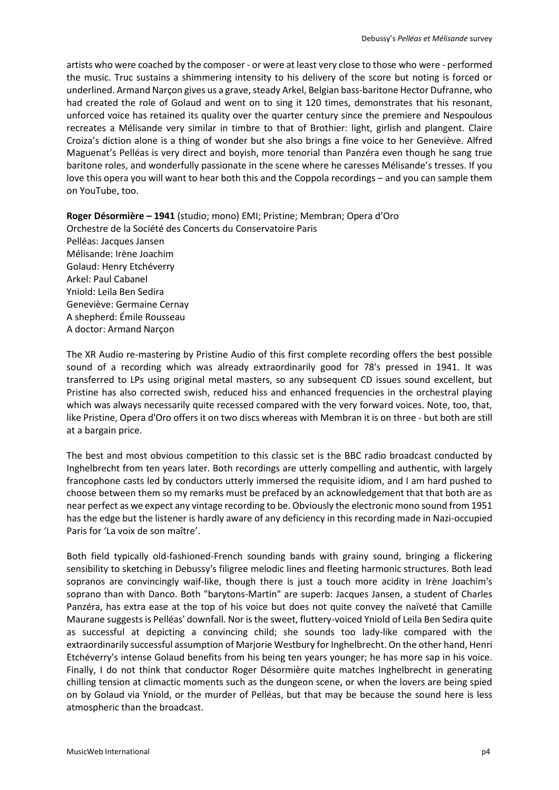artists who were coached by the composer - or were at least very close to those who were - performed the music. Truc sustains a shimmering intensity to his delivery of the score but noting is forced or underlined. Armand Narçon gives us a grave, steady Arkel, Belgian bass-baritone Hector Dufranne, who had created the role of Golaud and went on to sing it 120 times, demonstrates that his resonant, unforced voice has retained its quality over the quarter century since the premiere and Nespoulous recreates a Mélisande very similar in timbre to that of Brothier: light, girlish and plangent. Claire Croiza's diction alone is a thing of wonder but she also brings a fine voice to her Geneviève. Alfred Maguenat's Pelléas is very direct and boyish, more tenorial than Panzéra even though he sang true baritone roles, and wonderfully passionate in the scene where he caresses Mélisande's tresses. If you love this opera you will want to hear both this and the Coppola recordings – and you can sample them on YouTube, too.

**Roger Désormière – 1941** (studio; mono) EMI; Pristine; Membran; Opera d'Oro

Orchestre de la Société des Concerts du Conservatoire Paris Pelléas: Jacques Jansen Mélisande: Irène Joachim Golaud: Henry Etchéverry Arkel: Paul Cabanel Yniold: Leila Ben Sedira Geneviève: Germaine Cernay A shepherd: Émile Rousseau A doctor: Armand Narçon

The XR Audio re-mastering by Pristine Audio of this first complete recording offers the best possible sound of a recording which was already extraordinarily good for 78's pressed in 1941. It was transferred to LPs using original metal masters, so any subsequent CD issues sound excellent, but Pristine has also corrected swish, reduced hiss and enhanced frequencies in the orchestral playing which was always necessarily quite recessed compared with the very forward voices. Note, too, that, like Pristine, Opera d'Oro offers it on two discs whereas with Membran it is on three - but both are still at a bargain price.

The best and most obvious competition to this classic set is the BBC radio broadcast conducted by Inghelbrecht from ten years later. Both recordings are utterly compelling and authentic, with largely francophone casts led by conductors utterly immersed the requisite idiom, and I am hard pushed to choose between them so my remarks must be prefaced by an acknowledgement that that both are as near perfect as we expect any vintage recording to be. Obviously the electronic mono sound from 1951 has the edge but the listener is hardly aware of any deficiency in this recording made in Nazi-occupied Paris for 'La voix de son maître'.

Both field typically old-fashioned-French sounding bands with grainy sound, bringing a flickering sensibility to sketching in Debussy's filigree melodic lines and fleeting harmonic structures. Both lead sopranos are convincingly waif-like, though there is just a touch more acidity in Irène Joachim's soprano than with Danco. Both "barytons-Martin" are superb: Jacques Jansen, a student of Charles Panzéra, has extra ease at the top of his voice but does not quite convey the naïveté that Camille Maurane suggests is Pelléas' downfall. Nor is the sweet, fluttery-voiced Yniold of Leila Ben Sedira quite as successful at depicting a convincing child; she sounds too lady-like compared with the extraordinarily successful assumption of Marjorie Westbury for Inghelbrecht. On the other hand, Henri Etchéverry's intense Golaud benefits from his being ten years younger; he has more sap in his voice. Finally, I do not think that conductor Roger Désormière quite matches Inghelbrecht in generating chilling tension at climactic moments such as the dungeon scene, or when the lovers are being spied on by Golaud via Yniold, or the murder of Pelléas, but that may be because the sound here is less atmospheric than the broadcast.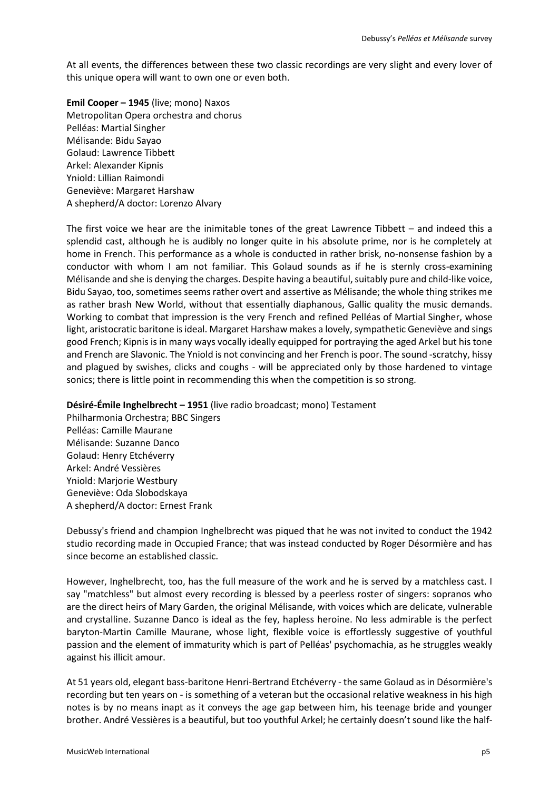At all events, the differences between these two classic recordings are very slight and every lover of this unique opera will want to own one or even both.

**Emil Cooper – 1945** (live; mono) Naxos Metropolitan Opera orchestra and chorus Pelléas: Martial Singher Mélisande: Bidu Sayao Golaud: Lawrence Tibbett Arkel: Alexander Kipnis Yniold: Lillian Raimondi Geneviève: Margaret Harshaw A shepherd/A doctor: Lorenzo Alvary

The first voice we hear are the inimitable tones of the great Lawrence Tibbett – and indeed this a splendid cast, although he is audibly no longer quite in his absolute prime, nor is he completely at home in French. This performance as a whole is conducted in rather brisk, no-nonsense fashion by a conductor with whom I am not familiar. This Golaud sounds as if he is sternly cross-examining Mélisande and she is denying the charges. Despite having a beautiful, suitably pure and child-like voice, Bidu Sayao, too, sometimes seems rather overt and assertive as Mélisande; the whole thing strikes me as rather brash New World, without that essentially diaphanous, Gallic quality the music demands. Working to combat that impression is the very French and refined Pelléas of Martial Singher, whose light, aristocratic baritone is ideal. Margaret Harshaw makes a lovely, sympathetic Geneviève and sings good French; Kipnis is in many ways vocally ideally equipped for portraying the aged Arkel but his tone and French are Slavonic. The Yniold is not convincing and her French is poor. The sound -scratchy, hissy and plagued by swishes, clicks and coughs - will be appreciated only by those hardened to vintage sonics; there is little point in recommending this when the competition is so strong.

**Désiré-Émile Inghelbrecht – 1951** (live radio broadcast; mono) Testament

Philharmonia Orchestra; BBC Singers Pelléas: Camille Maurane Mélisande: Suzanne Danco Golaud: Henry Etchéverry Arkel: André Vessières Yniold: Marjorie Westbury Geneviève: Oda Slobodskaya A shepherd/A doctor: Ernest Frank

Debussy's friend and champion Inghelbrecht was piqued that he was not invited to conduct the 1942 studio recording made in Occupied France; that was instead conducted by Roger Désormière and has since become an established classic.

However, Inghelbrecht, too, has the full measure of the work and he is served by a matchless cast. I say "matchless" but almost every recording is blessed by a peerless roster of singers: sopranos who are the direct heirs of Mary Garden, the original Mélisande, with voices which are delicate, vulnerable and crystalline. Suzanne Danco is ideal as the fey, hapless heroine. No less admirable is the perfect baryton-Martin Camille Maurane, whose light, flexible voice is effortlessly suggestive of youthful passion and the element of immaturity which is part of Pelléas' psychomachia, as he struggles weakly against his illicit amour.

At 51 years old, elegant bass-baritone Henri-Bertrand Etchéverry - the same Golaud as in Désormière's recording but ten years on - is something of a veteran but the occasional relative weakness in his high notes is by no means inapt as it conveys the age gap between him, his teenage bride and younger brother. André Vessières is a beautiful, but too youthful Arkel; he certainly doesn't sound like the half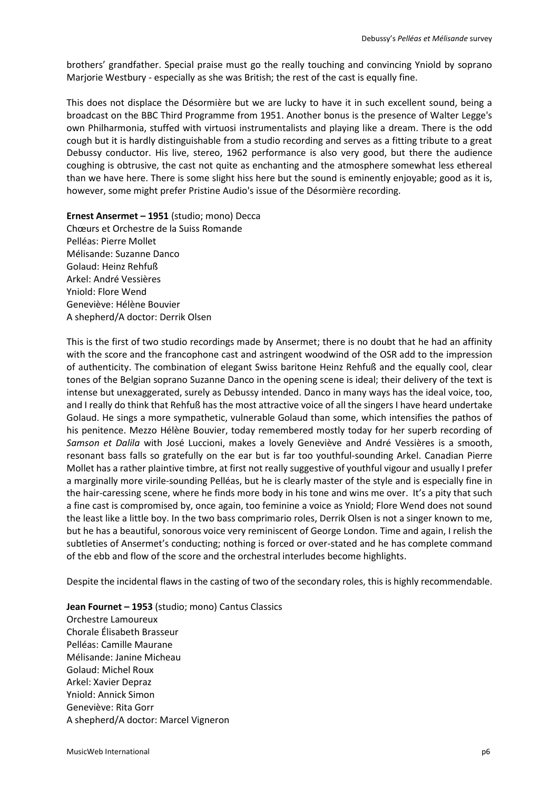brothers' grandfather. Special praise must go the really touching and convincing Yniold by soprano Marjorie Westbury - especially as she was British; the rest of the cast is equally fine.

This does not displace the Désormière but we are lucky to have it in such excellent sound, being a broadcast on the BBC Third Programme from 1951. Another bonus is the presence of Walter Legge's own Philharmonia, stuffed with virtuosi instrumentalists and playing like a dream. There is the odd cough but it is hardly distinguishable from a studio recording and serves as a fitting tribute to a great Debussy conductor. His live, stereo, 1962 performance is also very good, but there the audience coughing is obtrusive, the cast not quite as enchanting and the atmosphere somewhat less ethereal than we have here. There is some slight hiss here but the sound is eminently enjoyable; good as it is, however, some might prefer Pristine Audio's issue of the Désormière recording.

**Ernest Ansermet – 1951** (studio; mono) Decca

Chœurs et Orchestre de la Suiss Romande Pelléas: Pierre Mollet Mélisande: Suzanne Danco Golaud: Heinz Rehfuß Arkel: André Vessières Yniold: Flore Wend Geneviève: Hélène Bouvier A shepherd/A doctor: Derrik Olsen

This is the first of two studio recordings made by Ansermet; there is no doubt that he had an affinity with the score and the francophone cast and astringent woodwind of the OSR add to the impression of authenticity. The combination of elegant Swiss baritone Heinz Rehfuß and the equally cool, clear tones of the Belgian soprano Suzanne Danco in the opening scene is ideal; their delivery of the text is intense but unexaggerated, surely as Debussy intended. Danco in many ways has the ideal voice, too, and I really do think that Rehfuß has the most attractive voice of all the singers I have heard undertake Golaud. He sings a more sympathetic, vulnerable Golaud than some, which intensifies the pathos of his penitence. Mezzo Hélène Bouvier, today remembered mostly today for her superb recording of *Samson et Dalila* with José Luccioni, makes a lovely Geneviève and André Vessières is a smooth, resonant bass falls so gratefully on the ear but is far too youthful-sounding Arkel. Canadian Pierre Mollet has a rather plaintive timbre, at first not really suggestive of youthful vigour and usually I prefer a marginally more virile-sounding Pelléas, but he is clearly master of the style and is especially fine in the hair-caressing scene, where he finds more body in his tone and wins me over. It's a pity that such a fine cast is compromised by, once again, too feminine a voice as Yniold; Flore Wend does not sound the least like a little boy. In the two bass comprimario roles, Derrik Olsen is not a singer known to me, but he has a beautiful, sonorous voice very reminiscent of George London. Time and again, I relish the subtleties of Ansermet's conducting; nothing is forced or over-stated and he has complete command of the ebb and flow of the score and the orchestral interludes become highlights.

Despite the incidental flaws in the casting of two of the secondary roles, this is highly recommendable.

**Jean Fournet – 1953** (studio; mono) Cantus Classics Orchestre Lamoureux Chorale Élisabeth Brasseur Pelléas: Camille Maurane Mélisande: Janine Micheau Golaud: Michel Roux Arkel: Xavier Depraz Yniold: Annick Simon Geneviève: Rita Gorr A shepherd/A doctor: Marcel Vigneron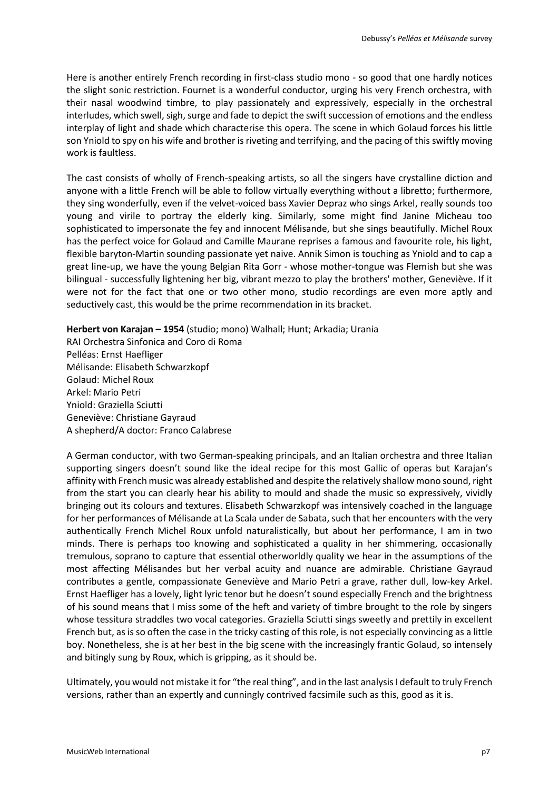Here is another entirely French recording in first-class studio mono - so good that one hardly notices the slight sonic restriction. Fournet is a wonderful conductor, urging his very French orchestra, with their nasal woodwind timbre, to play passionately and expressively, especially in the orchestral interludes, which swell, sigh, surge and fade to depict the swift succession of emotions and the endless interplay of light and shade which characterise this opera. The scene in which Golaud forces his little son Yniold to spy on his wife and brother is riveting and terrifying, and the pacing of this swiftly moving work is faultless.

The cast consists of wholly of French-speaking artists, so all the singers have crystalline diction and anyone with a little French will be able to follow virtually everything without a libretto; furthermore, they sing wonderfully, even if the velvet-voiced bass Xavier Depraz who sings Arkel, really sounds too young and virile to portray the elderly king. Similarly, some might find Janine Micheau too sophisticated to impersonate the fey and innocent Mélisande, but she sings beautifully. Michel Roux has the perfect voice for Golaud and Camille Maurane reprises a famous and favourite role, his light, flexible baryton-Martin sounding passionate yet naive. Annik Simon is touching as Yniold and to cap a great line-up, we have the young Belgian Rita Gorr - whose mother-tongue was Flemish but she was bilingual - successfully lightening her big, vibrant mezzo to play the brothers' mother, Geneviève. If it were not for the fact that one or two other mono, studio recordings are even more aptly and seductively cast, this would be the prime recommendation in its bracket.

**Herbert von Karajan – 1954** (studio; mono) Walhall; Hunt; Arkadia; Urania

RAI Orchestra Sinfonica and Coro di Roma Pelléas: Ernst Haefliger Mélisande: Elisabeth Schwarzkopf Golaud: Michel Roux Arkel: Mario Petri Yniold: Graziella Sciutti Geneviève: Christiane Gayraud A shepherd/A doctor: Franco Calabrese

A German conductor, with two German-speaking principals, and an Italian orchestra and three Italian supporting singers doesn't sound like the ideal recipe for this most Gallic of operas but Karajan's affinity with French music was already established and despite the relatively shallow mono sound, right from the start you can clearly hear his ability to mould and shade the music so expressively, vividly bringing out its colours and textures. Elisabeth Schwarzkopf was intensively coached in the language for her performances of Mélisande at La Scala under de Sabata, such that her encounters with the very authentically French Michel Roux unfold naturalistically, but about her performance, I am in two minds. There is perhaps too knowing and sophisticated a quality in her shimmering, occasionally tremulous, soprano to capture that essential otherworldly quality we hear in the assumptions of the most affecting Mélisandes but her verbal acuity and nuance are admirable. Christiane Gayraud contributes a gentle, compassionate Geneviève and Mario Petri a grave, rather dull, low-key Arkel. Ernst Haefliger has a lovely, light lyric tenor but he doesn't sound especially French and the brightness of his sound means that I miss some of the heft and variety of timbre brought to the role by singers whose tessitura straddles two vocal categories. Graziella Sciutti sings sweetly and prettily in excellent French but, as is so often the case in the tricky casting of this role, is not especially convincing as a little boy. Nonetheless, she is at her best in the big scene with the increasingly frantic Golaud, so intensely and bitingly sung by Roux, which is gripping, as it should be.

Ultimately, you would not mistake it for "the real thing", and in the last analysis I default to truly French versions, rather than an expertly and cunningly contrived facsimile such as this, good as it is.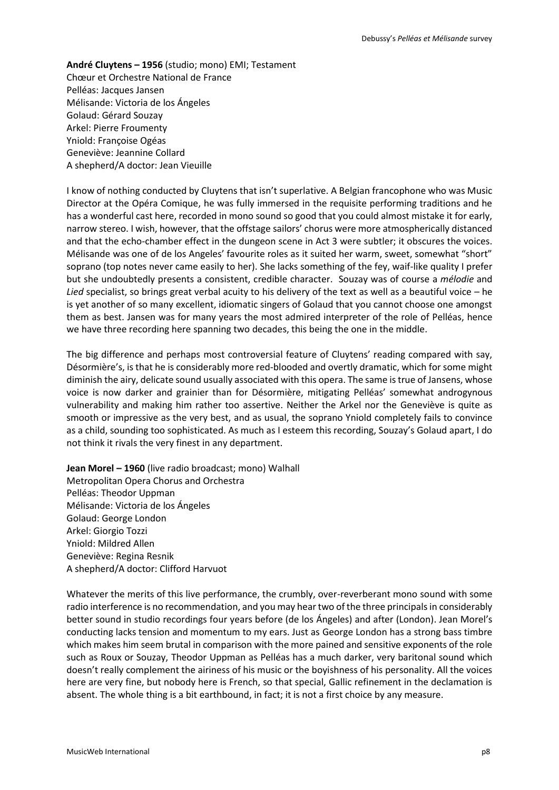**André Cluytens – 1956** (studio; mono) EMI; Testament Chœur et Orchestre National de France Pelléas: Jacques Jansen Mélisande: Victoria de los Ángeles Golaud: Gérard Souzay Arkel: Pierre Froumenty Yniold: Françoise Ogéas Geneviève: Jeannine Collard A shepherd/A doctor: Jean Vieuille

I know of nothing conducted by Cluytens that isn't superlative. A Belgian francophone who was Music Director at the Opéra Comique, he was fully immersed in the requisite performing traditions and he has a wonderful cast here, recorded in mono sound so good that you could almost mistake it for early, narrow stereo. I wish, however, that the offstage sailors' chorus were more atmospherically distanced and that the echo-chamber effect in the dungeon scene in Act 3 were subtler; it obscures the voices. Mélisande was one of de los Angeles' favourite roles as it suited her warm, sweet, somewhat "short" soprano (top notes never came easily to her). She lacks something of the fey, waif-like quality I prefer but she undoubtedly presents a consistent, credible character. Souzay was of course a *mélodie* and *Lied* specialist, so brings great verbal acuity to his delivery of the text as well as a beautiful voice – he is yet another of so many excellent, idiomatic singers of Golaud that you cannot choose one amongst them as best. Jansen was for many years the most admired interpreter of the role of Pelléas, hence we have three recording here spanning two decades, this being the one in the middle.

The big difference and perhaps most controversial feature of Cluytens' reading compared with say, Désormière's, is that he is considerably more red-blooded and overtly dramatic, which for some might diminish the airy, delicate sound usually associated with this opera. The same is true of Jansens, whose voice is now darker and grainier than for Désormière, mitigating Pelléas' somewhat androgynous vulnerability and making him rather too assertive. Neither the Arkel nor the Geneviève is quite as smooth or impressive as the very best, and as usual, the soprano Yniold completely fails to convince as a child, sounding too sophisticated. As much as I esteem this recording, Souzay's Golaud apart, I do not think it rivals the very finest in any department.

**Jean Morel – 1960** (live radio broadcast; mono) Walhall Metropolitan Opera Chorus and Orchestra Pelléas: Theodor Uppman Mélisande: Victoria de los Ángeles Golaud: George London Arkel: Giorgio Tozzi Yniold: Mildred Allen Geneviève: Regina Resnik A shepherd/A doctor: Clifford Harvuot

Whatever the merits of this live performance, the crumbly, over-reverberant mono sound with some radio interference is no recommendation, and you may hear two of the three principals in considerably better sound in studio recordings four years before (de los Ángeles) and after (London). Jean Morel's conducting lacks tension and momentum to my ears. Just as George London has a strong bass timbre which makes him seem brutal in comparison with the more pained and sensitive exponents of the role such as Roux or Souzay, Theodor Uppman as Pelléas has a much darker, very baritonal sound which doesn't really complement the airiness of his music or the boyishness of his personality. All the voices here are very fine, but nobody here is French, so that special, Gallic refinement in the declamation is absent. The whole thing is a bit earthbound, in fact; it is not a first choice by any measure.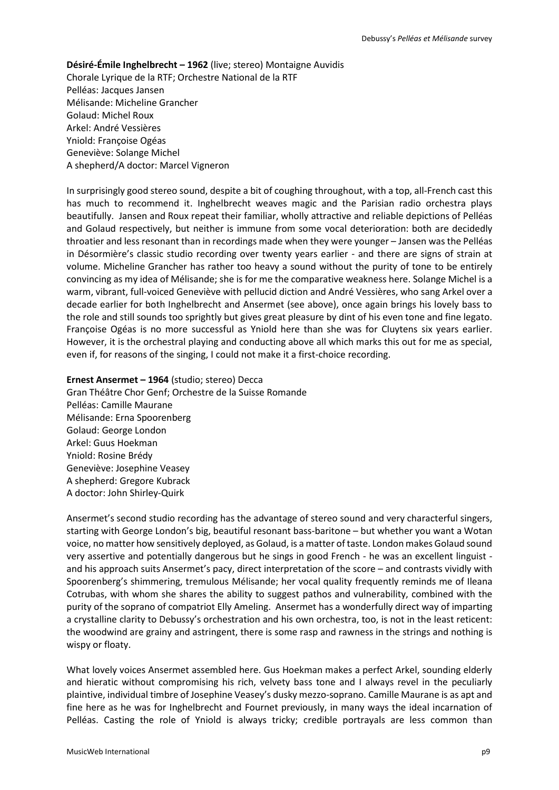**Désiré-Émile Inghelbrecht – 1962** (live; stereo) Montaigne Auvidis Chorale Lyrique de la RTF; Orchestre National de la RTF Pelléas: Jacques Jansen Mélisande: Micheline Grancher Golaud: Michel Roux Arkel: André Vessières Yniold: Françoise Ogéas Geneviève: Solange Michel A shepherd/A doctor: Marcel Vigneron

In surprisingly good stereo sound, despite a bit of coughing throughout, with a top, all-French cast this has much to recommend it. Inghelbrecht weaves magic and the Parisian radio orchestra plays beautifully. Jansen and Roux repeat their familiar, wholly attractive and reliable depictions of Pelléas and Golaud respectively, but neither is immune from some vocal deterioration: both are decidedly throatier and less resonant than in recordings made when they were younger – Jansen was the Pelléas in Désormière's classic studio recording over twenty years earlier - and there are signs of strain at volume. Micheline Grancher has rather too heavy a sound without the purity of tone to be entirely convincing as my idea of Mélisande; she is for me the comparative weakness here. Solange Michel is a warm, vibrant, full-voiced Geneviève with pellucid diction and André Vessières, who sang Arkel over a decade earlier for both Inghelbrecht and Ansermet (see above), once again brings his lovely bass to the role and still sounds too sprightly but gives great pleasure by dint of his even tone and fine legato. Françoise Ogéas is no more successful as Yniold here than she was for Cluytens six years earlier. However, it is the orchestral playing and conducting above all which marks this out for me as special, even if, for reasons of the singing, I could not make it a first-choice recording.

### **Ernest Ansermet – 1964** (studio; stereo) Decca

Gran Théâtre Chor Genf; Orchestre de la Suisse Romande Pelléas: Camille Maurane Mélisande: Erna Spoorenberg Golaud: George London Arkel: Guus Hoekman Yniold: Rosine Brédy Geneviève: Josephine Veasey A shepherd: Gregore Kubrack A doctor: John Shirley-Quirk

Ansermet's second studio recording has the advantage of stereo sound and very characterful singers, starting with George London's big, beautiful resonant bass-baritone – but whether you want a Wotan voice, no matter how sensitively deployed, as Golaud, is a matter of taste. London makes Golaud sound very assertive and potentially dangerous but he sings in good French - he was an excellent linguist and his approach suits Ansermet's pacy, direct interpretation of the score – and contrasts vividly with Spoorenberg's shimmering, tremulous Mélisande; her vocal quality frequently reminds me of Ileana Cotrubas, with whom she shares the ability to suggest pathos and vulnerability, combined with the purity of the soprano of compatriot Elly Ameling. Ansermet has a wonderfully direct way of imparting a crystalline clarity to Debussy's orchestration and his own orchestra, too, is not in the least reticent: the woodwind are grainy and astringent, there is some rasp and rawness in the strings and nothing is wispy or floaty.

What lovely voices Ansermet assembled here. Gus Hoekman makes a perfect Arkel, sounding elderly and hieratic without compromising his rich, velvety bass tone and I always revel in the peculiarly plaintive, individual timbre of Josephine Veasey's dusky mezzo-soprano. Camille Maurane is as apt and fine here as he was for Inghelbrecht and Fournet previously, in many ways the ideal incarnation of Pelléas. Casting the role of Yniold is always tricky; credible portrayals are less common than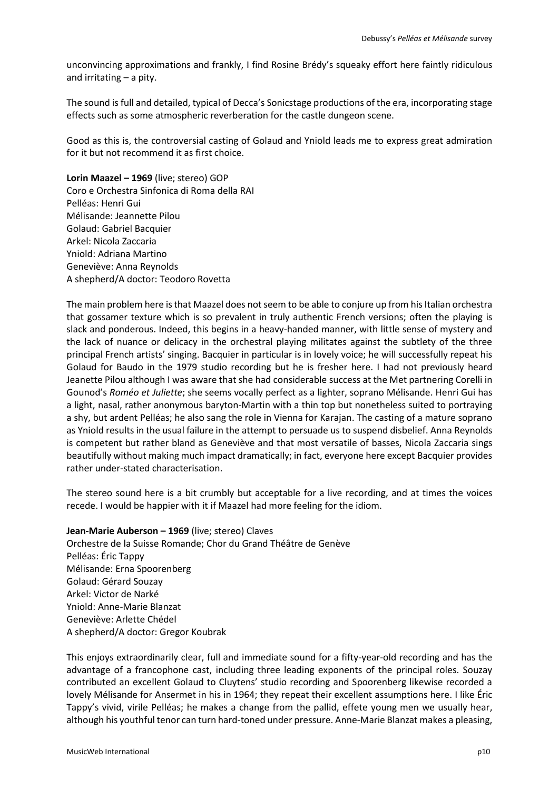unconvincing approximations and frankly, I find Rosine Brédy's squeaky effort here faintly ridiculous and irritating – a pity.

The sound is full and detailed, typical of Decca's Sonicstage productions of the era, incorporating stage effects such as some atmospheric reverberation for the castle dungeon scene.

Good as this is, the controversial casting of Golaud and Yniold leads me to express great admiration for it but not recommend it as first choice.

**Lorin Maazel – 1969** (live; stereo) GOP Coro e Orchestra Sinfonica di Roma della RAI Pelléas: Henri Gui Mélisande: Jeannette Pilou Golaud: Gabriel Bacquier Arkel: Nicola Zaccaria Yniold: Adriana Martino Geneviève: Anna Reynolds A shepherd/A doctor: Teodoro Rovetta

The main problem here is that Maazel does not seem to be able to conjure up from his Italian orchestra that gossamer texture which is so prevalent in truly authentic French versions; often the playing is slack and ponderous. Indeed, this begins in a heavy-handed manner, with little sense of mystery and the lack of nuance or delicacy in the orchestral playing militates against the subtlety of the three principal French artists' singing. Bacquier in particular is in lovely voice; he will successfully repeat his Golaud for Baudo in the 1979 studio recording but he is fresher here. I had not previously heard Jeanette Pilou although I was aware that she had considerable success at the Met partnering Corelli in Gounod's *Roméo et Juliette*; she seems vocally perfect as a lighter, soprano Mélisande. Henri Gui has a light, nasal, rather anonymous baryton-Martin with a thin top but nonetheless suited to portraying a shy, but ardent Pelléas; he also sang the role in Vienna for Karajan. The casting of a mature soprano as Yniold results in the usual failure in the attempt to persuade us to suspend disbelief. Anna Reynolds is competent but rather bland as Geneviève and that most versatile of basses, Nicola Zaccaria sings beautifully without making much impact dramatically; in fact, everyone here except Bacquier provides rather under-stated characterisation.

The stereo sound here is a bit crumbly but acceptable for a live recording, and at times the voices recede. I would be happier with it if Maazel had more feeling for the idiom.

### **Jean-Marie Auberson – 1969** (live; stereo) Claves

Orchestre de la Suisse Romande; Chor du Grand Théâtre de Genève Pelléas: Éric Tappy Mélisande: Erna Spoorenberg Golaud: Gérard Souzay Arkel: Victor de Narké Yniold: Anne-Marie Blanzat Geneviève: Arlette Chédel A shepherd/A doctor: Gregor Koubrak

This enjoys extraordinarily clear, full and immediate sound for a fifty-year-old recording and has the advantage of a francophone cast, including three leading exponents of the principal roles. Souzay contributed an excellent Golaud to Cluytens' studio recording and Spoorenberg likewise recorded a lovely Mélisande for Ansermet in his in 1964; they repeat their excellent assumptions here. I like Éric Tappy's vivid, virile Pelléas; he makes a change from the pallid, effete young men we usually hear, although his youthful tenor can turn hard-toned under pressure. Anne-Marie Blanzat makes a pleasing,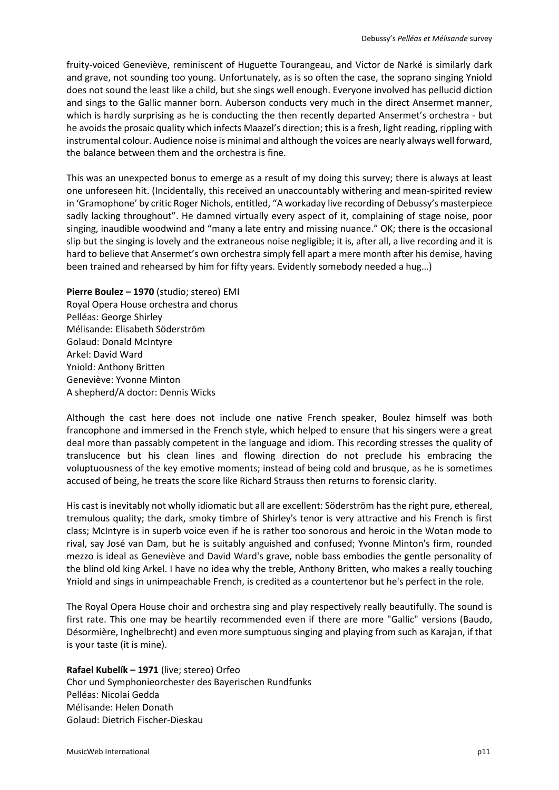fruity-voiced Geneviève, reminiscent of Huguette Tourangeau, and Victor de Narké is similarly dark and grave, not sounding too young. Unfortunately, as is so often the case, the soprano singing Yniold does not sound the least like a child, but she sings well enough. Everyone involved has pellucid diction and sings to the Gallic manner born. Auberson conducts very much in the direct Ansermet manner, which is hardly surprising as he is conducting the then recently departed Ansermet's orchestra - but he avoids the prosaic quality which infects Maazel's direction; this is a fresh, light reading, rippling with instrumental colour. Audience noise is minimal and although the voices are nearly always well forward, the balance between them and the orchestra is fine.

This was an unexpected bonus to emerge as a result of my doing this survey; there is always at least one unforeseen hit. (Incidentally, this received an unaccountably withering and mean-spirited review in 'Gramophone' by critic Roger Nichols, entitled, "A workaday live recording of Debussy's masterpiece sadly lacking throughout". He damned virtually every aspect of it, complaining of stage noise, poor singing, inaudible woodwind and "many a late entry and missing nuance." OK; there is the occasional slip but the singing is lovely and the extraneous noise negligible; it is, after all, a live recording and it is hard to believe that Ansermet's own orchestra simply fell apart a mere month after his demise, having been trained and rehearsed by him for fifty years. Evidently somebody needed a hug…)

**Pierre Boulez – 1970** (studio; stereo) EMI Royal Opera House orchestra and chorus Pelléas: George Shirley Mélisande: Elisabeth Söderström Golaud: Donald McIntyre Arkel: David Ward Yniold: Anthony Britten Geneviève: Yvonne Minton A shepherd/A doctor: Dennis Wicks

Although the cast here does not include one native French speaker, Boulez himself was both francophone and immersed in the French style, which helped to ensure that his singers were a great deal more than passably competent in the language and idiom. This recording stresses the quality of translucence but his clean lines and flowing direction do not preclude his embracing the voluptuousness of the key emotive moments; instead of being cold and brusque, as he is sometimes accused of being, he treats the score like Richard Strauss then returns to forensic clarity.

His cast is inevitably not wholly idiomatic but all are excellent: Söderström has the right pure, ethereal, tremulous quality; the dark, smoky timbre of Shirley's tenor is very attractive and his French is first class; McIntyre is in superb voice even if he is rather too sonorous and heroic in the Wotan mode to rival, say José van Dam, but he is suitably anguished and confused; Yvonne Minton's firm, rounded mezzo is ideal as Geneviève and David Ward's grave, noble bass embodies the gentle personality of the blind old king Arkel. I have no idea why the treble, Anthony Britten, who makes a really touching Yniold and sings in unimpeachable French, is credited as a countertenor but he's perfect in the role.

The Royal Opera House choir and orchestra sing and play respectively really beautifully. The sound is first rate. This one may be heartily recommended even if there are more "Gallic" versions (Baudo, Désormière, Inghelbrecht) and even more sumptuous singing and playing from such as Karajan, if that is your taste (it is mine).

### **Rafael Kubelík – 1971** (live; stereo) Orfeo

Chor und Symphonieorchester des Bayerischen Rundfunks Pelléas: Nicolai Gedda Mélisande: Helen Donath Golaud: Dietrich Fischer-Dieskau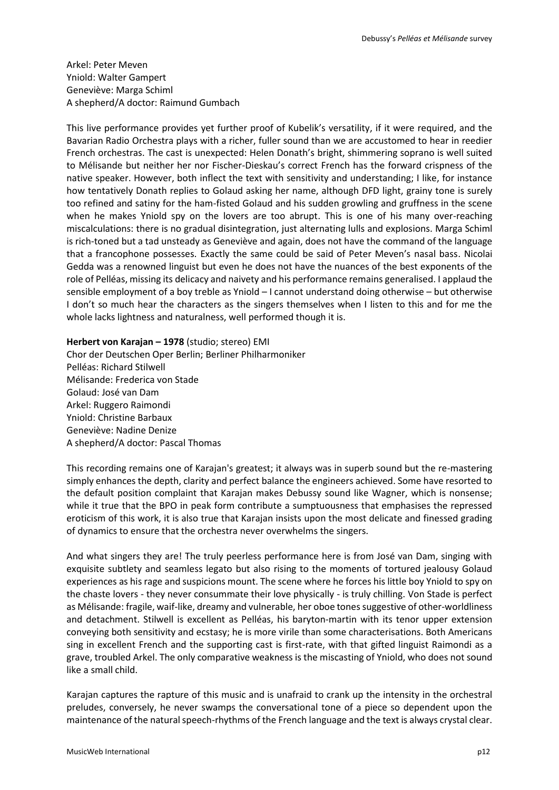# Arkel: Peter Meven Yniold: Walter Gampert Geneviève: Marga Schiml A shepherd/A doctor: Raimund Gumbach

This live performance provides yet further proof of Kubelik's versatility, if it were required, and the Bavarian Radio Orchestra plays with a richer, fuller sound than we are accustomed to hear in reedier French orchestras. The cast is unexpected: Helen Donath's bright, shimmering soprano is well suited to Mélisande but neither her nor Fischer-Dieskau's correct French has the forward crispness of the native speaker. However, both inflect the text with sensitivity and understanding; I like, for instance how tentatively Donath replies to Golaud asking her name, although DFD light, grainy tone is surely too refined and satiny for the ham-fisted Golaud and his sudden growling and gruffness in the scene when he makes Yniold spy on the lovers are too abrupt. This is one of his many over-reaching miscalculations: there is no gradual disintegration, just alternating lulls and explosions. Marga Schiml is rich-toned but a tad unsteady as Geneviève and again, does not have the command of the language that a francophone possesses. Exactly the same could be said of Peter Meven's nasal bass. Nicolai Gedda was a renowned linguist but even he does not have the nuances of the best exponents of the role of Pelléas, missing its delicacy and naivety and his performance remains generalised. I applaud the sensible employment of a boy treble as Yniold – I cannot understand doing otherwise – but otherwise I don't so much hear the characters as the singers themselves when I listen to this and for me the whole lacks lightness and naturalness, well performed though it is.

**Herbert von Karajan – 1978** (studio; stereo) EMI Chor der Deutschen Oper Berlin; Berliner Philharmoniker Pelléas: Richard Stilwell Mélisande: Frederica von Stade Golaud: José van Dam Arkel: Ruggero Raimondi Yniold: Christine Barbaux Geneviève: Nadine Denize A shepherd/A doctor: Pascal Thomas

This recording remains one of Karajan's greatest; it always was in superb sound but the re-mastering simply enhances the depth, clarity and perfect balance the engineers achieved. Some have resorted to the default position complaint that Karajan makes Debussy sound like Wagner, which is nonsense; while it true that the BPO in peak form contribute a sumptuousness that emphasises the repressed eroticism of this work, it is also true that Karajan insists upon the most delicate and finessed grading of dynamics to ensure that the orchestra never overwhelms the singers.

And what singers they are! The truly peerless performance here is from José van Dam, singing with exquisite subtlety and seamless legato but also rising to the moments of tortured jealousy Golaud experiences as his rage and suspicions mount. The scene where he forces his little boy Yniold to spy on the chaste lovers - they never consummate their love physically - is truly chilling. Von Stade is perfect as Mélisande: fragile, waif-like, dreamy and vulnerable, her oboe tones suggestive of other-worldliness and detachment. Stilwell is excellent as Pelléas, his baryton-martin with its tenor upper extension conveying both sensitivity and ecstasy; he is more virile than some characterisations. Both Americans sing in excellent French and the supporting cast is first-rate, with that gifted linguist Raimondi as a grave, troubled Arkel. The only comparative weakness is the miscasting of Yniold, who does not sound like a small child.

Karajan captures the rapture of this music and is unafraid to crank up the intensity in the orchestral preludes, conversely, he never swamps the conversational tone of a piece so dependent upon the maintenance of the natural speech-rhythms of the French language and the text is always crystal clear.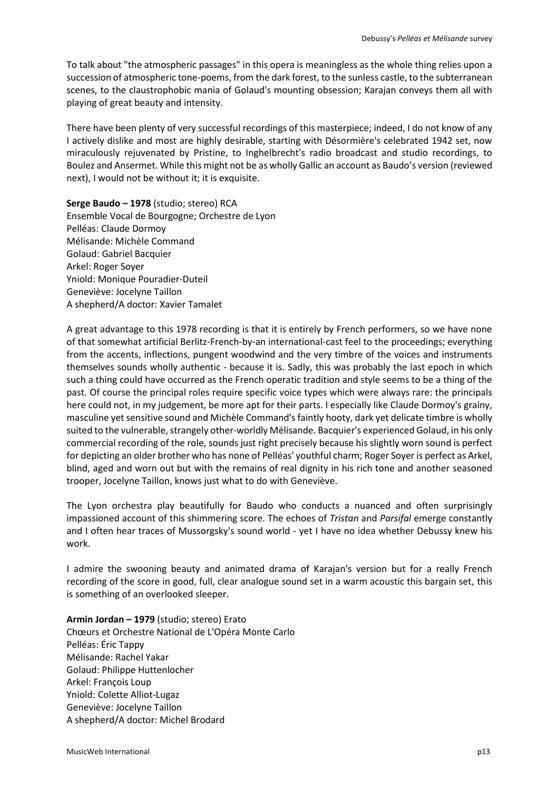To talk about "the atmospheric passages" in this opera is meaningless as the whole thing relies upon a succession of atmospheric tone-poems, from the dark forest, to the sunless castle, to the subterranean scenes, to the claustrophobic mania of Golaud's mounting obsession; Karajan conveys them all with playing of great beauty and intensity.

There have been plenty of very successful recordings of this masterpiece; indeed, I do not know of any I actively dislike and most are highly desirable, starting with Désormière's celebrated 1942 set, now miraculously rejuvenated by Pristine, to Inghelbrecht's radio broadcast and studio recordings, to Boulez and Ansermet. While this might not be as wholly Gallic an account as Baudo's version (reviewed next), I would not be without it; it is exquisite.

**Serge Baudo – 1978** (studio; stereo) RCA Ensemble Vocal de Bourgogne; Orchestre de Lyon Pelléas: Claude Dormoy Mélisande: Michèle Command Golaud: Gabriel Bacquier Arkel: Roger Soyer Yniold: Monique Pouradier-Duteil Geneviève: Jocelyne Taillon A shepherd/A doctor: Xavier Tamalet

A great advantage to this 1978 recording is that it is entirely by French performers, so we have none of that somewhat artificial Berlitz-French-by-an international-cast feel to the proceedings; everything from the accents, inflections, pungent woodwind and the very timbre of the voices and instruments themselves sounds wholly authentic - because it is. Sadly, this was probably the last epoch in which such a thing could have occurred as the French operatic tradition and style seems to be a thing of the past. Of course the principal roles require specific voice types which were always rare: the principals here could not, in my judgement, be more apt for their parts. I especially like Claude Dormoy's grainy, masculine yet sensitive sound and Michèle Command's faintly hooty, dark yet delicate timbre is wholly suited to the vulnerable, strangely other-worldly Mélisande. Bacquier's experienced Golaud, in his only commercial recording of the role, sounds just right precisely because his slightly worn sound is perfect for depicting an older brother who has none of Pelléas' youthful charm; Roger Soyer is perfect as Arkel, blind, aged and worn out but with the remains of real dignity in his rich tone and another seasoned trooper, Jocelyne Taillon, knows just what to do with Geneviève.

The Lyon orchestra play beautifully for Baudo who conducts a nuanced and often surprisingly impassioned account of this shimmering score. The echoes of *Tristan* and *Parsifal* emerge constantly and I often hear traces of Mussorgsky's sound world - yet I have no idea whether Debussy knew his work.

I admire the swooning beauty and animated drama of Karajan's version but for a really French recording of the score in good, full, clear analogue sound set in a warm acoustic this bargain set, this is something of an overlooked sleeper.

**Armin Jordan – 1979** (studio; stereo) Erato Chœurs et Orchestre National de L'Opéra Monte Carlo Pelléas: Éric Tappy Mélisande: Rachel Yakar Golaud: Philippe Huttenlocher Arkel: François Loup Yniold: Colette Alliot-Lugaz Geneviève: Jocelyne Taillon A shepherd/A doctor: Michel Brodard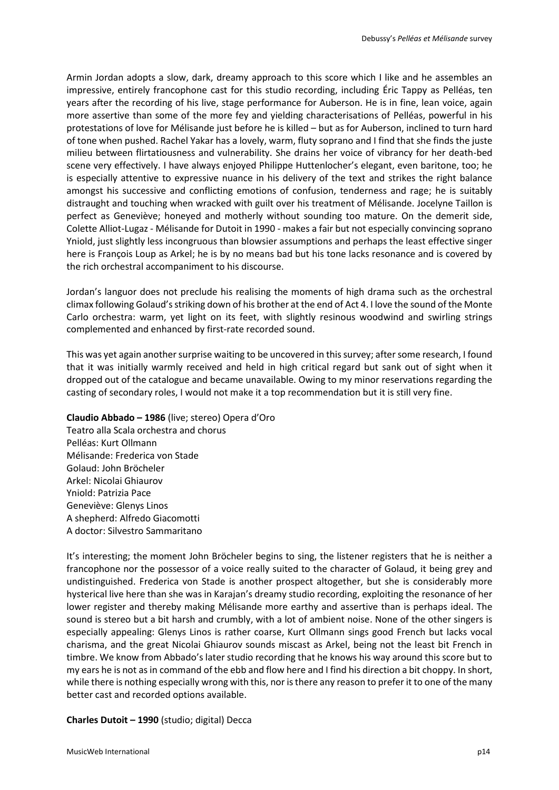Armin Jordan adopts a slow, dark, dreamy approach to this score which I like and he assembles an impressive, entirely francophone cast for this studio recording, including Éric Tappy as Pelléas, ten years after the recording of his live, stage performance for Auberson. He is in fine, lean voice, again more assertive than some of the more fey and yielding characterisations of Pelléas, powerful in his protestations of love for Mélisande just before he is killed – but as for Auberson, inclined to turn hard of tone when pushed. Rachel Yakar has a lovely, warm, fluty soprano and I find that she finds the juste milieu between flirtatiousness and vulnerability. She drains her voice of vibrancy for her death-bed scene very effectively. I have always enjoyed Philippe Huttenlocher's elegant, even baritone, too; he is especially attentive to expressive nuance in his delivery of the text and strikes the right balance amongst his successive and conflicting emotions of confusion, tenderness and rage; he is suitably distraught and touching when wracked with guilt over his treatment of Mélisande. Jocelyne Taillon is perfect as Geneviève; honeyed and motherly without sounding too mature. On the demerit side, Colette Alliot-Lugaz - Mélisande for Dutoit in 1990 - makes a fair but not especially convincing soprano Yniold, just slightly less incongruous than blowsier assumptions and perhaps the least effective singer here is François Loup as Arkel; he is by no means bad but his tone lacks resonance and is covered by the rich orchestral accompaniment to his discourse.

Jordan's languor does not preclude his realising the moments of high drama such as the orchestral climax following Golaud's striking down of his brother at the end of Act 4. I love the sound of the Monte Carlo orchestra: warm, yet light on its feet, with slightly resinous woodwind and swirling strings complemented and enhanced by first-rate recorded sound.

This was yet again another surprise waiting to be uncovered in this survey; after some research, I found that it was initially warmly received and held in high critical regard but sank out of sight when it dropped out of the catalogue and became unavailable. Owing to my minor reservations regarding the casting of secondary roles, I would not make it a top recommendation but it is still very fine.

#### **Claudio Abbado – 1986** (live; stereo) Opera d'Oro

Teatro alla Scala orchestra and chorus Pelléas: Kurt Ollmann Mélisande: Frederica von Stade Golaud: John Bröcheler Arkel: Nicolai Ghiaurov Yniold: Patrizia Pace Geneviève: Glenys Linos A shepherd: Alfredo Giacomotti A doctor: Silvestro Sammaritano

It's interesting; the moment John Bröcheler begins to sing, the listener registers that he is neither a francophone nor the possessor of a voice really suited to the character of Golaud, it being grey and undistinguished. Frederica von Stade is another prospect altogether, but she is considerably more hysterical live here than she was in Karajan's dreamy studio recording, exploiting the resonance of her lower register and thereby making Mélisande more earthy and assertive than is perhaps ideal. The sound is stereo but a bit harsh and crumbly, with a lot of ambient noise. None of the other singers is especially appealing: Glenys Linos is rather coarse, Kurt Ollmann sings good French but lacks vocal charisma, and the great Nicolai Ghiaurov sounds miscast as Arkel, being not the least bit French in timbre. We know from Abbado's later studio recording that he knows his way around this score but to my ears he is not as in command of the ebb and flow here and I find his direction a bit choppy. In short, while there is nothing especially wrong with this, nor is there any reason to prefer it to one of the many better cast and recorded options available.

#### **Charles Dutoit – 1990** (studio; digital) Decca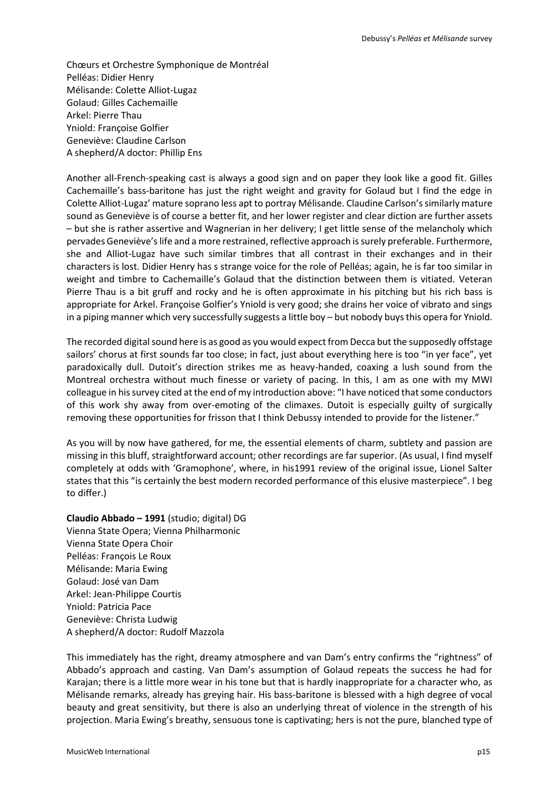Chœurs et Orchestre Symphonique de Montréal Pelléas: Didier Henry Mélisande: Colette Alliot-Lugaz Golaud: Gilles Cachemaille Arkel: Pierre Thau Yniold: Françoise Golfier Geneviève: Claudine Carlson A shepherd/A doctor: Phillip Ens

Another all-French-speaking cast is always a good sign and on paper they look like a good fit. Gilles Cachemaille's bass-baritone has just the right weight and gravity for Golaud but I find the edge in Colette Alliot-Lugaz' mature soprano less apt to portray Mélisande. Claudine Carlson's similarly mature sound as Geneviève is of course a better fit, and her lower register and clear diction are further assets – but she is rather assertive and Wagnerian in her delivery; I get little sense of the melancholy which pervades Geneviève's life and a more restrained, reflective approach is surely preferable. Furthermore, she and Alliot-Lugaz have such similar timbres that all contrast in their exchanges and in their characters is lost. Didier Henry has s strange voice for the role of Pelléas; again, he is far too similar in weight and timbre to Cachemaille's Golaud that the distinction between them is vitiated. Veteran Pierre Thau is a bit gruff and rocky and he is often approximate in his pitching but his rich bass is appropriate for Arkel. Françoise Golfier's Yniold is very good; she drains her voice of vibrato and sings in a piping manner which very successfully suggests a little boy – but nobody buys this opera for Yniold.

The recorded digital sound here is as good as you would expect from Decca but the supposedly offstage sailors' chorus at first sounds far too close; in fact, just about everything here is too "in yer face", yet paradoxically dull. Dutoit's direction strikes me as heavy-handed, coaxing a lush sound from the Montreal orchestra without much finesse or variety of pacing. In this, I am as one with my MWI colleague in his survey cited at the end of my introduction above: "I have noticed that some conductors of this work shy away from over-emoting of the climaxes. Dutoit is especially guilty of surgically removing these opportunities for frisson that I think Debussy intended to provide for the listener."

As you will by now have gathered, for me, the essential elements of charm, subtlety and passion are missing in this bluff, straightforward account; other recordings are far superior. (As usual, I find myself completely at odds with 'Gramophone', where, in his1991 review of the original issue, Lionel Salter states that this "is certainly the best modern recorded performance of this elusive masterpiece". I beg to differ.)

**Claudio Abbado – 1991** (studio; digital) DG Vienna State Opera; Vienna Philharmonic Vienna State Opera Choir Pelléas: François Le Roux Mélisande: Maria Ewing Golaud: José van Dam Arkel: Jean-Philippe Courtis Yniold: Patricia Pace Geneviève: Christa Ludwig A shepherd/A doctor: Rudolf Mazzola

This immediately has the right, dreamy atmosphere and van Dam's entry confirms the "rightness" of Abbado's approach and casting. Van Dam's assumption of Golaud repeats the success he had for Karajan; there is a little more wear in his tone but that is hardly inappropriate for a character who, as Mélisande remarks, already has greying hair. His bass-baritone is blessed with a high degree of vocal beauty and great sensitivity, but there is also an underlying threat of violence in the strength of his projection. Maria Ewing's breathy, sensuous tone is captivating; hers is not the pure, blanched type of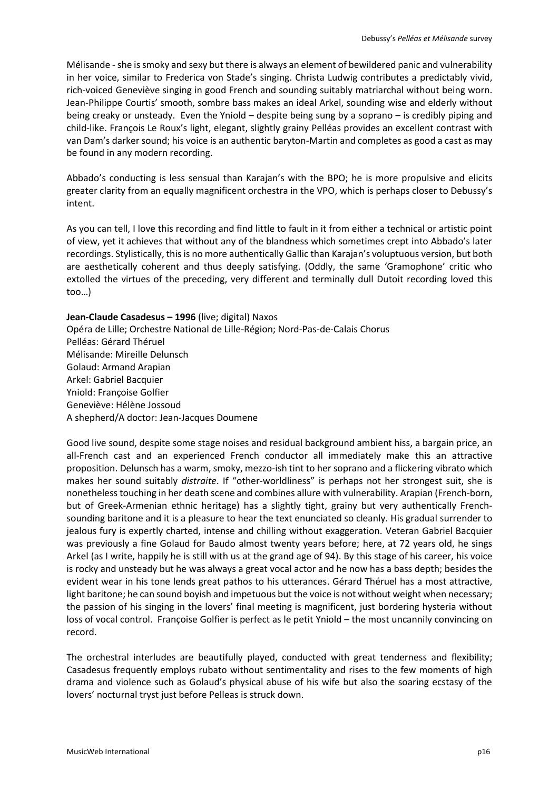Mélisande - she is smoky and sexy but there is always an element of bewildered panic and vulnerability in her voice, similar to Frederica von Stade's singing. Christa Ludwig contributes a predictably vivid, rich-voiced Geneviève singing in good French and sounding suitably matriarchal without being worn. Jean-Philippe Courtis' smooth, sombre bass makes an ideal Arkel, sounding wise and elderly without being creaky or unsteady. Even the Yniold – despite being sung by a soprano – is credibly piping and child-like. François Le Roux's light, elegant, slightly grainy Pelléas provides an excellent contrast with van Dam's darker sound; his voice is an authentic baryton-Martin and completes as good a cast as may be found in any modern recording.

Abbado's conducting is less sensual than Karajan's with the BPO; he is more propulsive and elicits greater clarity from an equally magnificent orchestra in the VPO, which is perhaps closer to Debussy's intent.

As you can tell, I love this recording and find little to fault in it from either a technical or artistic point of view, yet it achieves that without any of the blandness which sometimes crept into Abbado's later recordings. Stylistically, this is no more authentically Gallic than Karajan's voluptuous version, but both are aesthetically coherent and thus deeply satisfying. (Oddly, the same 'Gramophone' critic who extolled the virtues of the preceding, very different and terminally dull Dutoit recording loved this too…)

**Jean-Claude Casadesus – 1996** (live; digital) Naxos Opéra de Lille; Orchestre National de Lille-Région; Nord-Pas-de-Calais Chorus Pelléas: Gérard Théruel Mélisande: Mireille Delunsch Golaud: Armand Arapian Arkel: Gabriel Bacquier Yniold: Françoise Golfier Geneviève: Hélène Jossoud A shepherd/A doctor: Jean-Jacques Doumene

Good live sound, despite some stage noises and residual background ambient hiss, a bargain price, an all-French cast and an experienced French conductor all immediately make this an attractive proposition. Delunsch has a warm, smoky, mezzo-ish tint to her soprano and a flickering vibrato which makes her sound suitably *distraite*. If "other-worldliness" is perhaps not her strongest suit, she is nonetheless touching in her death scene and combines allure with vulnerability. Arapian (French-born, but of Greek-Armenian ethnic heritage) has a slightly tight, grainy but very authentically Frenchsounding baritone and it is a pleasure to hear the text enunciated so cleanly. His gradual surrender to jealous fury is expertly charted, intense and chilling without exaggeration. Veteran Gabriel Bacquier was previously a fine Golaud for Baudo almost twenty years before; here, at 72 years old, he sings Arkel (as I write, happily he is still with us at the grand age of 94). By this stage of his career, his voice is rocky and unsteady but he was always a great vocal actor and he now has a bass depth; besides the evident wear in his tone lends great pathos to his utterances. Gérard Théruel has a most attractive, light baritone; he can sound boyish and impetuous but the voice is not without weight when necessary; the passion of his singing in the lovers' final meeting is magnificent, just bordering hysteria without loss of vocal control. Françoise Golfier is perfect as le petit Yniold – the most uncannily convincing on record.

The orchestral interludes are beautifully played, conducted with great tenderness and flexibility; Casadesus frequently employs rubato without sentimentality and rises to the few moments of high drama and violence such as Golaud's physical abuse of his wife but also the soaring ecstasy of the lovers' nocturnal tryst just before Pelleas is struck down.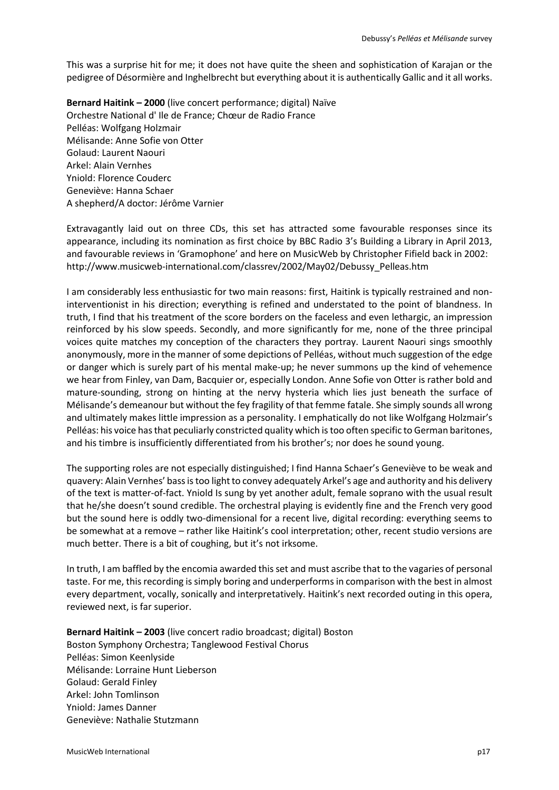This was a surprise hit for me; it does not have quite the sheen and sophistication of Karajan or the pedigree of Désormière and Inghelbrecht but everything about it is authentically Gallic and it all works.

**Bernard Haitink – 2000** (live concert performance; digital) Naïve Orchestre National d' Ile de France; Chœur de Radio France Pelléas: Wolfgang Holzmair Mélisande: Anne Sofie von Otter Golaud: Laurent Naouri Arkel: Alain Vernhes Yniold: Florence Couderc Geneviève: Hanna Schaer A shepherd/A doctor: Jérôme Varnier

Extravagantly laid out on three CDs, this set has attracted some favourable responses since its appearance, including its nomination as first choice by BBC Radio 3's Building a Library in April 2013, and favourable reviews in 'Gramophone' and here on MusicWeb by Christopher Fifield back in 2002: http://www.musicweb-international.com/classrev/2002/May02/Debussy\_Pelleas.htm

I am considerably less enthusiastic for two main reasons: first, Haitink is typically restrained and noninterventionist in his direction; everything is refined and understated to the point of blandness. In truth, I find that his treatment of the score borders on the faceless and even lethargic, an impression reinforced by his slow speeds. Secondly, and more significantly for me, none of the three principal voices quite matches my conception of the characters they portray. Laurent Naouri sings smoothly anonymously, more in the manner of some depictions of Pelléas, without much suggestion of the edge or danger which is surely part of his mental make-up; he never summons up the kind of vehemence we hear from Finley, van Dam, Bacquier or, especially London. Anne Sofie von Otter is rather bold and mature-sounding, strong on hinting at the nervy hysteria which lies just beneath the surface of Mélisande's demeanour but without the fey fragility of that femme fatale. She simply sounds all wrong and ultimately makes little impression as a personality. I emphatically do not like Wolfgang Holzmair's Pelléas: his voice has that peculiarly constricted quality which is too often specific to German baritones, and his timbre is insufficiently differentiated from his brother's; nor does he sound young.

The supporting roles are not especially distinguished; I find Hanna Schaer's Geneviève to be weak and quavery: Alain Vernhes' bass is too light to convey adequately Arkel's age and authority and his delivery of the text is matter-of-fact. Yniold Is sung by yet another adult, female soprano with the usual result that he/she doesn't sound credible. The orchestral playing is evidently fine and the French very good but the sound here is oddly two-dimensional for a recent live, digital recording: everything seems to be somewhat at a remove – rather like Haitink's cool interpretation; other, recent studio versions are much better. There is a bit of coughing, but it's not irksome.

In truth, I am baffled by the encomia awarded this set and must ascribe that to the vagaries of personal taste. For me, this recording is simply boring and underperforms in comparison with the best in almost every department, vocally, sonically and interpretatively. Haitink's next recorded outing in this opera, reviewed next, is far superior.

**Bernard Haitink – 2003** (live concert radio broadcast; digital) Boston Boston Symphony Orchestra; Tanglewood Festival Chorus Pelléas: Simon Keenlyside Mélisande: Lorraine Hunt Lieberson Golaud: Gerald Finley Arkel: John Tomlinson Yniold: James Danner Geneviève: Nathalie Stutzmann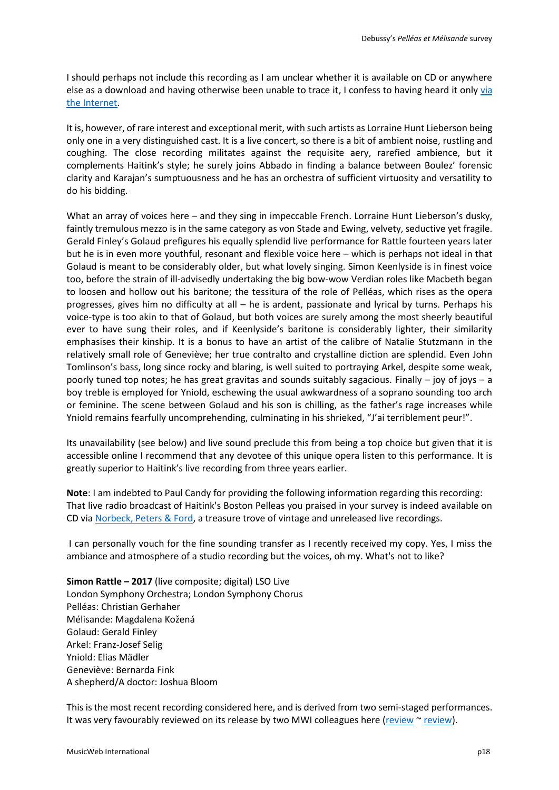I should perhaps not include this recording as I am unclear whether it is available on CD or anywhere else as a download and having otherwise been unable to trace it, I confess to having heard it onl[y via](https://www.mixcloud.com/Jungfer_Marianne_Leizmetzerin/debussy-pelléas-et-mélisande-hunt-lieberson-keenlyside-finley-haitink-boston-2003/)  [the Internet.](https://www.mixcloud.com/Jungfer_Marianne_Leizmetzerin/debussy-pelléas-et-mélisande-hunt-lieberson-keenlyside-finley-haitink-boston-2003/)

It is, however, of rare interest and exceptional merit, with such artists as Lorraine Hunt Lieberson being only one in a very distinguished cast. It is a live concert, so there is a bit of ambient noise, rustling and coughing. The close recording militates against the requisite aery, rarefied ambience, but it complements Haitink's style; he surely joins Abbado in finding a balance between Boulez' forensic clarity and Karajan's sumptuousness and he has an orchestra of sufficient virtuosity and versatility to do his bidding.

What an array of voices here – and they sing in impeccable French. Lorraine Hunt Lieberson's dusky, faintly tremulous mezzo is in the same category as von Stade and Ewing, velvety, seductive yet fragile. Gerald Finley's Golaud prefigures his equally splendid live performance for Rattle fourteen years later but he is in even more youthful, resonant and flexible voice here – which is perhaps not ideal in that Golaud is meant to be considerably older, but what lovely singing. Simon Keenlyside is in finest voice too, before the strain of ill-advisedly undertaking the big bow-wow Verdian roles like Macbeth began to loosen and hollow out his baritone; the tessitura of the role of Pelléas, which rises as the opera progresses, gives him no difficulty at all – he is ardent, passionate and lyrical by turns. Perhaps his voice-type is too akin to that of Golaud, but both voices are surely among the most sheerly beautiful ever to have sung their roles, and if Keenlyside's baritone is considerably lighter, their similarity emphasises their kinship. It is a bonus to have an artist of the calibre of Natalie Stutzmann in the relatively small role of Geneviève; her true contralto and crystalline diction are splendid. Even John Tomlinson's bass, long since rocky and blaring, is well suited to portraying Arkel, despite some weak, poorly tuned top notes; he has great gravitas and sounds suitably sagacious. Finally – joy of joys – a boy treble is employed for Yniold, eschewing the usual awkwardness of a soprano sounding too arch or feminine. The scene between Golaud and his son is chilling, as the father's rage increases while Yniold remains fearfully uncomprehending, culminating in his shrieked, "J'ai terriblement peur!".

Its unavailability (see below) and live sound preclude this from being a top choice but given that it is accessible online I recommend that any devotee of this unique opera listen to this performance. It is greatly superior to Haitink's live recording from three years earlier.

**Note**: I am indebted to Paul Candy for providing the following information regarding this recording: That live radio broadcast of Haitink's Boston Pelleas you praised in your survey is indeed available on CD via [Norbeck, Peters & Ford,](http://www.norpete.com/op3228.html) a treasure trove of vintage and unreleased live recordings.

I can personally vouch for the fine sounding transfer as I recently received my copy. Yes, I miss the ambiance and atmosphere of a studio recording but the voices, oh my. What's not to like?

**Simon Rattle – 2017** (live composite; digital) LSO Live London Symphony Orchestra; London Symphony Chorus Pelléas: Christian Gerhaher Mélisande: Magdalena Kožená Golaud: Gerald Finley Arkel: Franz-Josef Selig Yniold: Elias Mädler Geneviève: Bernarda Fink A shepherd/A doctor: Joshua Bloom

This is the most recent recording considered here, and is derived from two semi-staged performances. It was very favourably reviewed on its release by two MWI colleagues here [\(review](http://www.musicweb-international.com/classrev/2018/Feb/Debussy_Pelleas_LSO0790.htm)  $\sim$  [review\)](http://www.musicweb-international.com/classrev/2018/May/Debussy_Pelleas_LSO0790.htm).